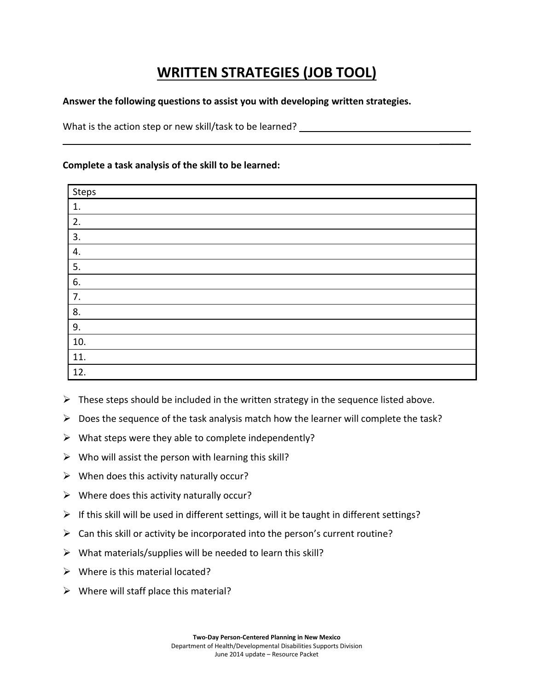## **WRITTEN STRATEGIES (JOB TOOL)**

 $\frac{1}{2}$ 

## **Answer the following questions to assist you with developing written strategies.**

What is the action step or new skill/task to be learned?

## **Complete a task analysis of the skill to be learned:**

| Steps |  |
|-------|--|
| 1.    |  |
| 2.    |  |
| 3.    |  |
| 4.    |  |
| 5.    |  |
| 6.    |  |
| 7.    |  |
| 8.    |  |
| 9.    |  |
| 10.   |  |
| 11.   |  |
| 12.   |  |

 $\triangleright$  These steps should be included in the written strategy in the sequence listed above.

- $\triangleright$  Does the sequence of the task analysis match how the learner will complete the task?
- $\triangleright$  What steps were they able to complete independently?
- $\triangleright$  Who will assist the person with learning this skill?
- $\triangleright$  When does this activity naturally occur?
- $\triangleright$  Where does this activity naturally occur?
- $\triangleright$  If this skill will be used in different settings, will it be taught in different settings?
- $\triangleright$  Can this skill or activity be incorporated into the person's current routine?
- $\triangleright$  What materials/supplies will be needed to learn this skill?
- $\triangleright$  Where is this material located?
- $\triangleright$  Where will staff place this material?